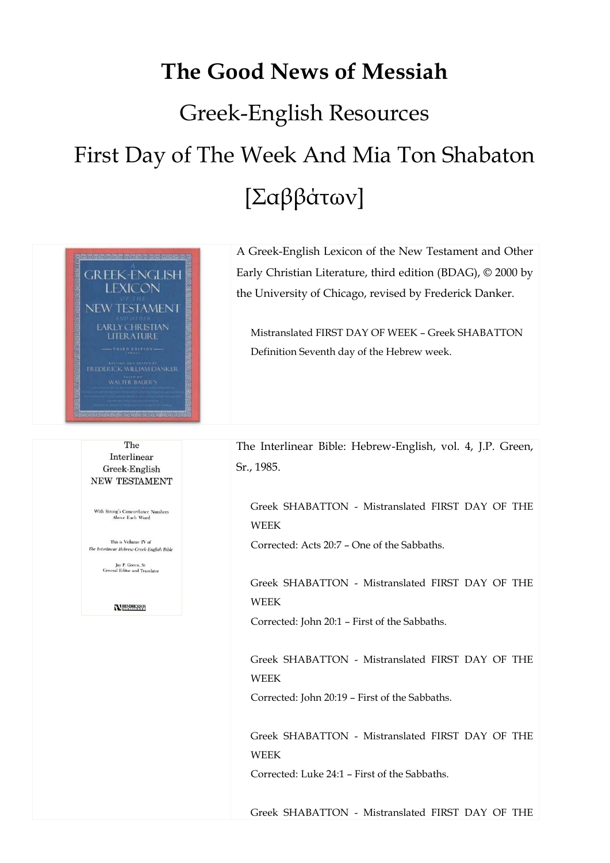## **The Good News of Messiah**  Greek-English Resources First Day of The Week And Mia Ton Shabaton [Σαββάτων]



A Greek-English Lexicon of the New Testament and Other Early Christian Literature, third edition (BDAG), © 2000 by the University of Chicago, revised by Frederick Danker.

 Mistranslated FIRST DAY OF WEEK – Greek SHABATTON Definition Seventh day of the Hebrew week.

The Interlinear Greek-English **NEW TESTAMENT** 

With Strong's Concordance Numbers<br>Above Each Word

This is Volume IV of The Interlinear Hebrew-Greek-English Bible

Jay P. Green, Sr.<br>General Editor and Translator

**N HENDRICKSON** 

The Interlinear Bible: Hebrew-English, vol. 4, J.P. Green, Sr., 1985.

 Greek SHABATTON - Mistranslated FIRST DAY OF THE WEEK

Corrected: Acts 20:7 – One of the Sabbaths.

 Greek SHABATTON - Mistranslated FIRST DAY OF THE WEEK

Corrected: John 20:1 – First of the Sabbaths.

 Greek SHABATTON - Mistranslated FIRST DAY OF THE WEEK

Corrected: John 20:19 – First of the Sabbaths.

 Greek SHABATTON - Mistranslated FIRST DAY OF THE WEEK

Corrected: Luke 24:1 – First of the Sabbaths.

Greek SHABATTON - Mistranslated FIRST DAY OF THE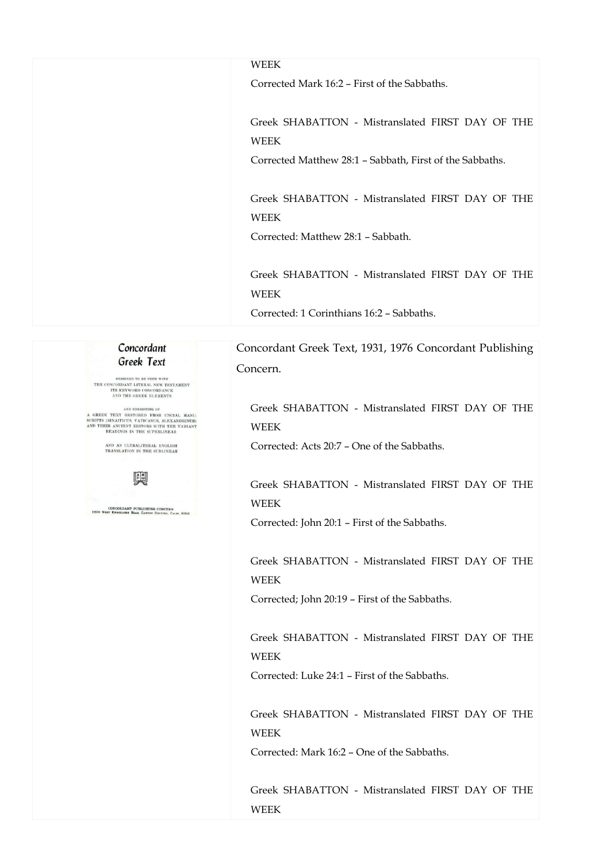## WEEK

Corrected Mark 16:2 – First of the Sabbaths.

 Greek SHABATTON - Mistranslated FIRST DAY OF THE WEEK

Corrected Matthew 28:1 – Sabbath, First of the Sabbaths.

 Greek SHABATTON - Mistranslated FIRST DAY OF THE WEEK

Corrected: Matthew 28:1 – Sabbath.

 Greek SHABATTON - Mistranslated FIRST DAY OF THE WEEK

Corrected: 1 Corinthians 16:2 – Sabbaths.

Concordant Greek Text, 1931, 1976 Concordant Publishing Concern.

 Greek SHABATTON - Mistranslated FIRST DAY OF THE WEEK

Corrected: Acts 20:7 – One of the Sabbaths.

 Greek SHABATTON - Mistranslated FIRST DAY OF THE WEEK

Corrected: John 20:1 – First of the Sabbaths.

 Greek SHABATTON - Mistranslated FIRST DAY OF THE WEEK

Corrected; John 20:19 – First of the Sabbaths.

 Greek SHABATTON - Mistranslated FIRST DAY OF THE WEEK

Corrected: Luke 24:1 – First of the Sabbaths.

 Greek SHABATTON - Mistranslated FIRST DAY OF THE WEEK

Corrected: Mark 16:2 – One of the Sabbaths.

 Greek SHABATTON - Mistranslated FIRST DAY OF THE WEEK